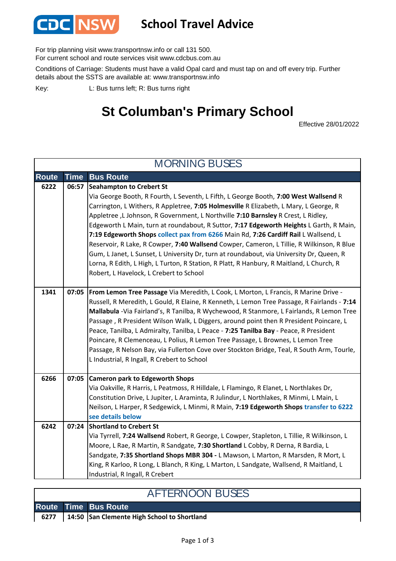

## **School Travel Advice**

For trip planning visit www.transportnsw.info or call 131 500.

For current school and route services visit www.cdcbus.com.au

Conditions of Carriage: Students must have a valid Opal card and must tap on and off every trip. Further details about the SSTS are available at: www.transportnsw.info

L: Bus turns left; R: Bus turns right Key:

## **St Columban's Primary School**

Effective 28/01/2022

| <b>MORNING BUSES</b> |             |                                                                                                                                                                                                                                                                                                                                                                                                                                                                                                                                                                                                                                                                                                                                                                                                                  |  |  |
|----------------------|-------------|------------------------------------------------------------------------------------------------------------------------------------------------------------------------------------------------------------------------------------------------------------------------------------------------------------------------------------------------------------------------------------------------------------------------------------------------------------------------------------------------------------------------------------------------------------------------------------------------------------------------------------------------------------------------------------------------------------------------------------------------------------------------------------------------------------------|--|--|
| <b>Route</b>         | <b>Time</b> | <b>Bus Route</b>                                                                                                                                                                                                                                                                                                                                                                                                                                                                                                                                                                                                                                                                                                                                                                                                 |  |  |
| 6222                 | 06:57       | Seahampton to Crebert St<br>Via George Booth, R Fourth, L Seventh, L Fifth, L George Booth, 7:00 West Wallsend R<br>Carrington, L Withers, R Appletree, 7:05 Holmesville R Elizabeth, L Mary, L George, R<br>Appletree, L Johnson, R Government, L Northville 7:10 Barnsley R Crest, L Ridley,<br>Edgeworth L Main, turn at roundabout, R Suttor, 7:17 Edgeworth Heights L Garth, R Main,<br>7:19 Edgeworth Shops collect pax from 6266 Main Rd, 7:26 Cardiff Rail L Wallsend, L<br>Reservoir, R Lake, R Cowper, 7:40 Wallsend Cowper, Cameron, L Tillie, R Wilkinson, R Blue<br>Gum, L Janet, L Sunset, L University Dr, turn at roundabout, via University Dr, Queen, R<br>Lorna, R Edith, L High, L Turton, R Station, R Platt, R Hanbury, R Maitland, L Church, R<br>Robert, L Havelock, L Crebert to School |  |  |
| 1341                 | 07:05       | <b>From Lemon Tree Passage Via Meredith, L Cook, L Morton, L Francis, R Marine Drive -</b><br>Russell, R Meredith, L Gould, R Elaine, R Kenneth, L Lemon Tree Passage, R Fairlands - 7:14<br>Mallabula -Via Fairland's, R Tanilba, R Wychewood, R Stanmore, L Fairlands, R Lemon Tree<br>Passage, R President Wilson Walk, L Diggers, around point then R President Poincare, L<br>Peace, Tanilba, L Admiralty, Tanilba, L Peace - 7:25 Tanilba Bay - Peace, R President<br>Poincare, R Clemenceau, L Polius, R Lemon Tree Passage, L Brownes, L Lemon Tree<br>Passage, R Nelson Bay, via Fullerton Cove over Stockton Bridge, Teal, R South Arm, Tourle,<br>L Industrial, R Ingall, R Crebert to School                                                                                                         |  |  |
| 6266                 | 07:05       | <b>Cameron park to Edgeworth Shops</b><br>Via Oakville, R Harris, L Peatmoss, R Hilldale, L Flamingo, R Elanet, L Northlakes Dr,<br>Constitution Drive, L Jupiter, L Araminta, R Julindur, L Northlakes, R Minmi, L Main, L<br>Neilson, L Harper, R Sedgewick, L Minmi, R Main, 7:19 Edgeworth Shops transfer to 6222<br>see details below                                                                                                                                                                                                                                                                                                                                                                                                                                                                       |  |  |
| 6242                 | 07:24       | <b>Shortland to Crebert St</b><br>Via Tyrrell, 7:24 Wallsend Robert, R George, L Cowper, Stapleton, L Tillie, R Wilkinson, L<br>Moore, L Rae, R Martin, R Sandgate, 7:30 Shortland L Cobby, R Derna, R Bardia, L<br>Sandgate, 7:35 Shortland Shops MBR 304 - L Mawson, L Marton, R Marsden, R Mort, L<br>King, R Karloo, R Long, L Blanch, R King, L Marton, L Sandgate, Wallsend, R Maitland, L<br>Industrial, R Ingall, R Crebert                                                                                                                                                                                                                                                                                                                                                                              |  |  |

| <b>AFTERNOON BUSES</b> |  |                                                    |  |  |
|------------------------|--|----------------------------------------------------|--|--|
|                        |  | Route Time Bus Route                               |  |  |
|                        |  | 6277   14:50 San Clemente High School to Shortland |  |  |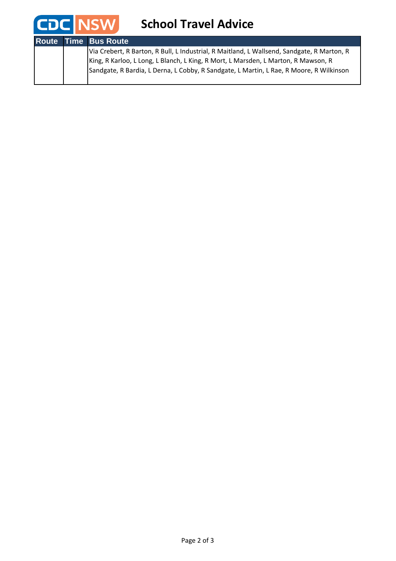

|  | <b>Route Time Bus Route</b>                                                                                                                                                   |
|--|-------------------------------------------------------------------------------------------------------------------------------------------------------------------------------|
|  | Via Crebert, R Barton, R Bull, L Industrial, R Maitland, L Wallsend, Sandgate, R Marton, R                                                                                    |
|  | King, R Karloo, L Long, L Blanch, L King, R Mort, L Marsden, L Marton, R Mawson, R<br>Sandgate, R Bardia, L Derna, L Cobby, R Sandgate, L Martin, L Rae, R Moore, R Wilkinson |